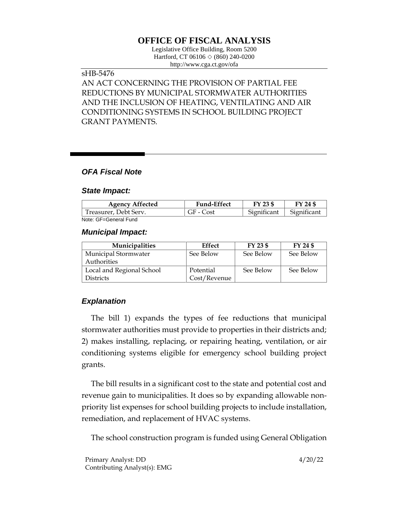# **OFFICE OF FISCAL ANALYSIS**

Legislative Office Building, Room 5200 Hartford, CT 06106  $\Diamond$  (860) 240-0200 http://www.cga.ct.gov/ofa

#### sHB-5476

AN ACT CONCERNING THE PROVISION OF PARTIAL FEE REDUCTIONS BY MUNICIPAL STORMWATER AUTHORITIES AND THE INCLUSION OF HEATING, VENTILATING AND AIR CONDITIONING SYSTEMS IN SCHOOL BUILDING PROJECT GRANT PAYMENTS.

# *OFA Fiscal Note*

#### *State Impact:*

| <b>Agency Affected</b> | <b>Fund-Effect</b> | FY 23 \$    | FY 24 \$    |
|------------------------|--------------------|-------------|-------------|
| Treasurer, Debt Serv.  | GF - Cost          | Significant | Significant |
| Note: GF=General Fund  |                    |             |             |

# *Municipal Impact:*

| <b>Municipalities</b>     | Effect       | FY 23 \$  | FY 24 \$  |
|---------------------------|--------------|-----------|-----------|
| Municipal Stormwater      | See Below    | See Below | See Below |
| Authorities               |              |           |           |
| Local and Regional School | Potential    | See Below | See Below |
| <b>Districts</b>          | Cost/Revenue |           |           |

### *Explanation*

The bill 1) expands the types of fee reductions that municipal stormwater authorities must provide to properties in their districts and; 2) makes installing, replacing, or repairing heating, ventilation, or air conditioning systems eligible for emergency school building project grants.

The bill results in a significant cost to the state and potential cost and revenue gain to municipalities. It does so by expanding allowable nonpriority list expenses for school building projects to include installation, remediation, and replacement of HVAC systems.

The school construction program is funded using General Obligation

Primary Analyst: DD 4/20/22 Contributing Analyst(s): EMG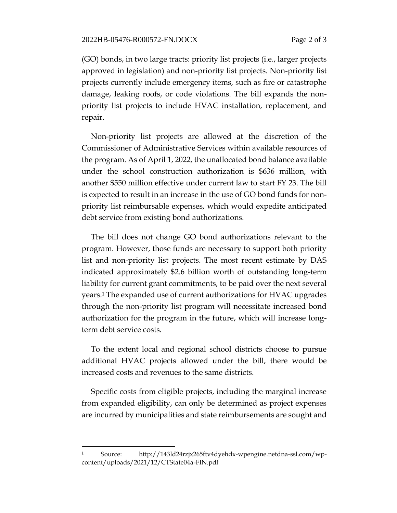(GO) bonds, in two large tracts: priority list projects (i.e., larger projects approved in legislation) and non-priority list projects. Non-priority list projects currently include emergency items, such as fire or catastrophe damage, leaking roofs, or code violations. The bill expands the nonpriority list projects to include HVAC installation, replacement, and repair.

Non-priority list projects are allowed at the discretion of the Commissioner of Administrative Services within available resources of the program. As of April 1, 2022, the unallocated bond balance available under the school construction authorization is \$636 million, with another \$550 million effective under current law to start FY 23. The bill is expected to result in an increase in the use of GO bond funds for nonpriority list reimbursable expenses, which would expedite anticipated debt service from existing bond authorizations.

The bill does not change GO bond authorizations relevant to the program. However, those funds are necessary to support both priority list and non-priority list projects. The most recent estimate by DAS indicated approximately \$2.6 billion worth of outstanding long-term liability for current grant commitments, to be paid over the next several years.<sup>1</sup> The expanded use of current authorizations for HVAC upgrades through the non-priority list program will necessitate increased bond authorization for the program in the future, which will increase longterm debt service costs.

To the extent local and regional school districts choose to pursue additional HVAC projects allowed under the bill, there would be increased costs and revenues to the same districts.

Specific costs from eligible projects, including the marginal increase from expanded eligibility, can only be determined as project expenses are incurred by municipalities and state reimbursements are sought and

<sup>1</sup> Source: http://143ld24rzjx265ftv4dyehdx-wpengine.netdna-ssl.com/wpcontent/uploads/2021/12/CTState04a-FIN.pdf